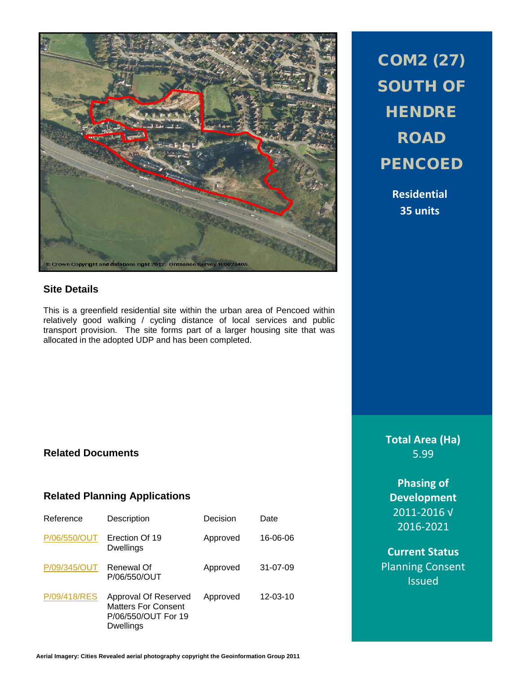

# **Site Details**

This is a greenfield residential site within the urban area of Pencoed within relatively good walking / cycling distance of local services and public transport provision. The site forms part of a larger housing site that was allocated in the adopted UDP and has been completed.

# COM2 (27) SOUTH OF **HENDRE** ROAD **PENCOED**

**Residential 35 units**

**Total Area (Ha)** 5.99

> **Phasing of Development** 2011-2016 √ 2016-2021

**Current Status** Planning Consent **Issued** 

# **Related Documents**

## **Related Planning Applications**

| Reference    | Description                                                                            | Decision | Date           |
|--------------|----------------------------------------------------------------------------------------|----------|----------------|
| P/06/550/OUT | Erection Of 19<br>Dwellings                                                            | Approved | 16-06-06       |
| P/09/345/OUT | Renewal Of<br>P/06/550/OUT                                                             | Approved | 31-07-09       |
| P/09/418/RES | Approval Of Reserved<br><b>Matters For Consent</b><br>P/06/550/OUT For 19<br>Dwellings | Approved | $12 - 03 - 10$ |